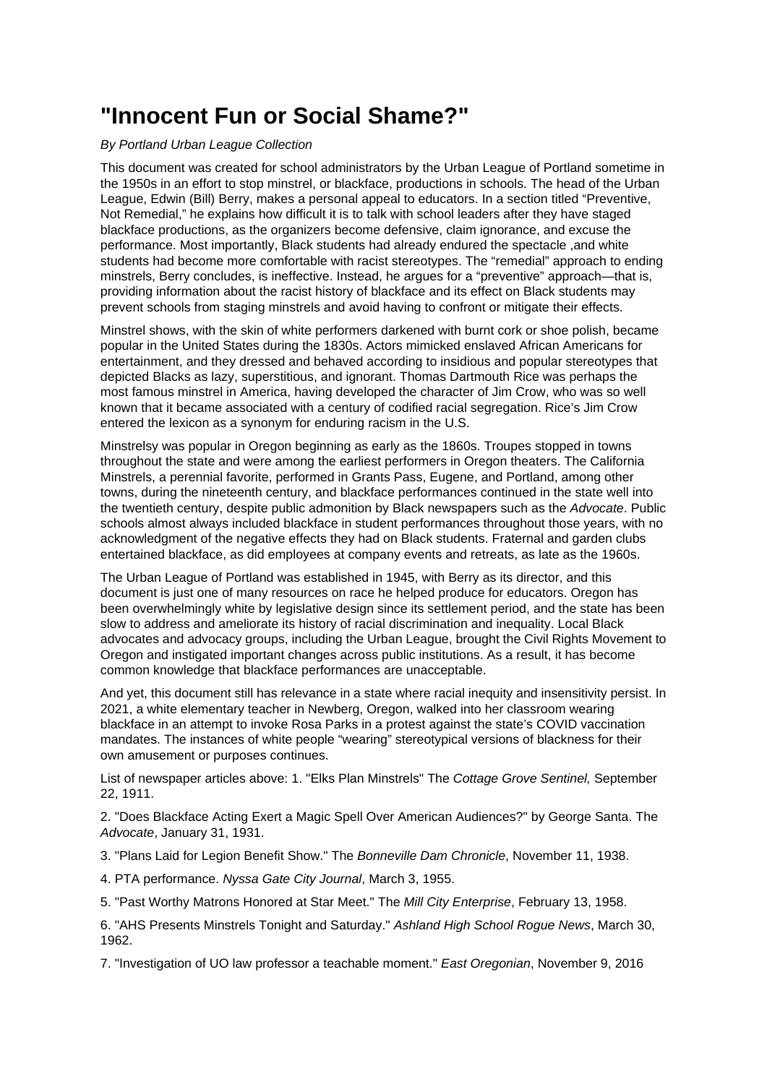## **"Innocent Fun or Social Shame?"**

## By Portland Urban League Collection

This document was created for school administrators by the Urban League of Portland sometime in the 1950s in an effort to stop minstrel, or blackface, productions in schools. The head of the Urban League, Edwin (Bill) Berry, makes a personal appeal to educators. In a section titled "Preventive, Not Remedial," he explains how difficult it is to talk with school leaders after they have staged blackface productions, as the organizers become defensive, claim ignorance, and excuse the performance. Most importantly, Black students had already endured the spectacle ,and white students had become more comfortable with racist stereotypes. The "remedial" approach to ending minstrels, Berry concludes, is ineffective. Instead, he argues for a "preventive" approach—that is, providing information about the racist history of blackface and its effect on Black students may prevent schools from staging minstrels and avoid having to confront or mitigate their effects.

Minstrel shows, with the skin of white performers darkened with burnt cork or shoe polish, became popular in the United States during the 1830s. Actors mimicked enslaved African Americans for entertainment, and they dressed and behaved according to insidious and popular stereotypes that depicted Blacks as lazy, superstitious, and ignorant. Thomas Dartmouth Rice was perhaps the most famous minstrel in America, having developed the character of Jim Crow, who was so well known that it became associated with a century of codified racial segregation. Rice's Jim Crow entered the lexicon as a synonym for enduring racism in the U.S.

Minstrelsy was popular in Oregon beginning as early as the 1860s. Troupes stopped in towns throughout the state and were among the earliest performers in Oregon theaters. The California Minstrels, a perennial favorite, performed in Grants Pass, Eugene, and Portland, among other towns, during the nineteenth century, and blackface performances continued in the state well into the twentieth century, despite public admonition by Black newspapers such as the Advocate. Public schools almost always included blackface in student performances throughout those years, with no acknowledgment of the negative effects they had on Black students. Fraternal and garden clubs entertained blackface, as did employees at company events and retreats, as late as the 1960s.

The Urban League of Portland was established in 1945, with Berry as its director, and this document is just one of many resources on race he helped produce for educators. Oregon has been overwhelmingly white by legislative design since its settlement period, and the state has been slow to address and ameliorate its history of racial discrimination and inequality. Local Black advocates and advocacy groups, including the Urban League, brought the Civil Rights Movement to Oregon and instigated important changes across public institutions. As a result, it has become common knowledge that blackface performances are unacceptable.

And yet, this document still has relevance in a state where racial inequity and insensitivity persist. In 2021, a white elementary teacher in Newberg, Oregon, walked into her classroom wearing blackface in an attempt to invoke Rosa Parks in a protest against the state's COVID vaccination mandates. The instances of white people "wearing" stereotypical versions of blackness for their own amusement or purposes continues.

List of newspaper articles above: 1. "Elks Plan Minstrels" The Cottage Grove Sentinel, September 22, 1911.

2. "Does Blackface Acting Exert a Magic Spell Over American Audiences?" by George Santa. The Advocate, January 31, 1931.

3. "Plans Laid for Legion Benefit Show." The Bonneville Dam Chronicle, November 11, 1938.

4. PTA performance. Nyssa Gate City Journal, March 3, 1955.

5. "Past Worthy Matrons Honored at Star Meet." The Mill City Enterprise, February 13, 1958.

6. "AHS Presents Minstrels Tonight and Saturday." Ashland High School Rogue News, March 30, 1962.

7. "Investigation of UO law professor a teachable moment." East Oregonian, November 9, 2016